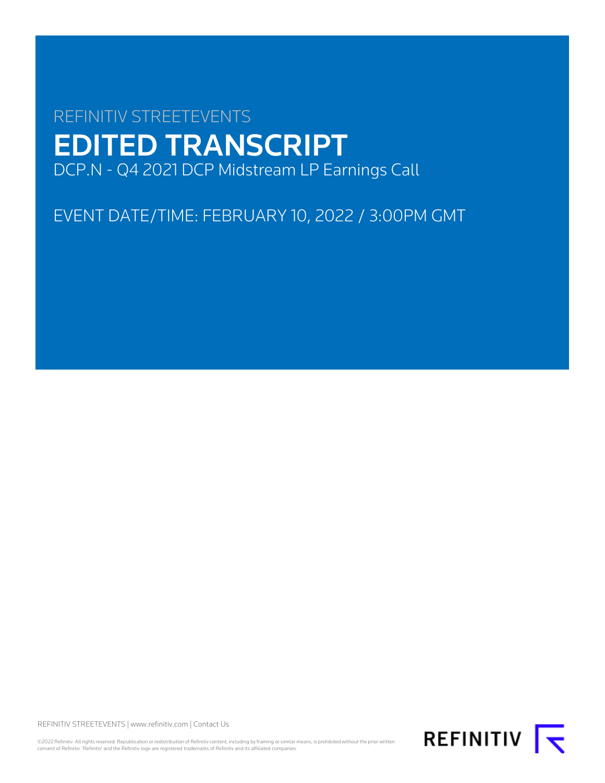# REFINITIV STREETEVENTS EDITED TRANSCRIPT DCP.N - Q4 2021 DCP Midstream LP Earnings Call

EVENT DATE/TIME: FEBRUARY 10, 2022 / 3:00PM GMT

REFINITIV STREETEVENTS | [www.refinitiv.com](https://www.refinitiv.com/) | [Contact Us](https://www.refinitiv.com/en/contact-us)

©2022 Refinitiv. All rights reserved. Republication or redistribution of Refinitiv content, including by framing or similar means, is prohibited without the prior written<br>consent of Refinitiv. 'Refinitiv' and the Refinitiv

REFINITIV **K**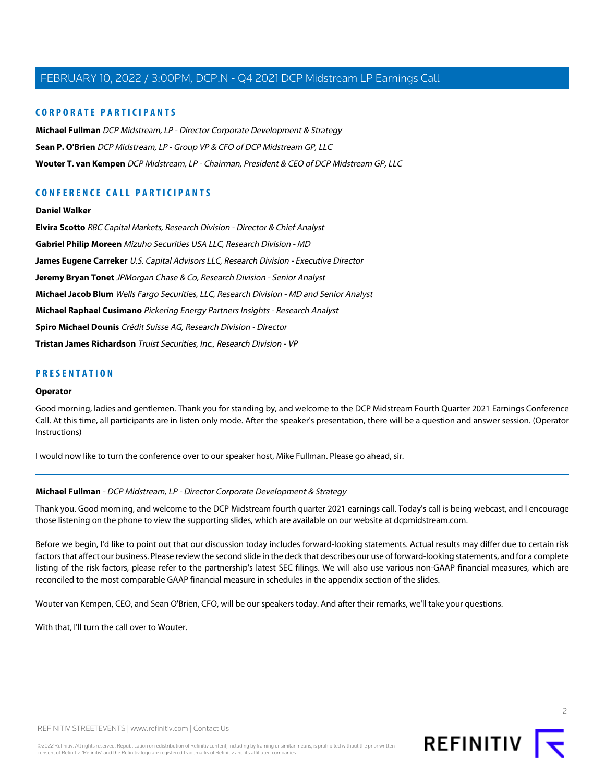## **CORPORATE PARTICIPANTS**

**[Michael Fullman](#page-1-0)** DCP Midstream, LP - Director Corporate Development & Strategy **[Sean P. O'Brien](#page-2-0)** DCP Midstream, LP - Group VP & CFO of DCP Midstream GP, LLC **[Wouter T. van Kempen](#page-2-1)** DCP Midstream, LP - Chairman, President & CEO of DCP Midstream GP, LLC

# **CONFERENCE CALL PARTICIPANTS**

#### **[Daniel Walker](#page-9-0)**

**[Elvira Scotto](#page-12-0)** RBC Capital Markets, Research Division - Director & Chief Analyst **[Gabriel Philip Moreen](#page-11-0)** Mizuho Securities USA LLC, Research Division - MD **[James Eugene Carreker](#page-10-0)** U.S. Capital Advisors LLC, Research Division - Executive Director **[Jeremy Bryan Tonet](#page-13-0)** JPMorgan Chase & Co, Research Division - Senior Analyst **[Michael Jacob Blum](#page-6-0)** Wells Fargo Securities, LLC, Research Division - MD and Senior Analyst **[Michael Raphael Cusimano](#page-10-1)** Pickering Energy Partners Insights - Research Analyst **[Spiro Michael Dounis](#page-5-0)** Crédit Suisse AG, Research Division - Director **[Tristan James Richardson](#page-8-0)** Truist Securities, Inc., Research Division - VP

## **PRESENTATION**

#### **Operator**

Good morning, ladies and gentlemen. Thank you for standing by, and welcome to the DCP Midstream Fourth Quarter 2021 Earnings Conference Call. At this time, all participants are in listen only mode. After the speaker's presentation, there will be a question and answer session. (Operator Instructions)

<span id="page-1-0"></span>I would now like to turn the conference over to our speaker host, Mike Fullman. Please go ahead, sir.

## **Michael Fullman** - DCP Midstream, LP - Director Corporate Development & Strategy

Thank you. Good morning, and welcome to the DCP Midstream fourth quarter 2021 earnings call. Today's call is being webcast, and I encourage those listening on the phone to view the supporting slides, which are available on our website at dcpmidstream.com.

Before we begin, I'd like to point out that our discussion today includes forward-looking statements. Actual results may differ due to certain risk factors that affect our business. Please review the second slide in the deck that describes our use of forward-looking statements, and for a complete listing of the risk factors, please refer to the partnership's latest SEC filings. We will also use various non-GAAP financial measures, which are reconciled to the most comparable GAAP financial measure in schedules in the appendix section of the slides.

Wouter van Kempen, CEO, and Sean O'Brien, CFO, will be our speakers today. And after their remarks, we'll take your questions.

With that, I'll turn the call over to Wouter.

2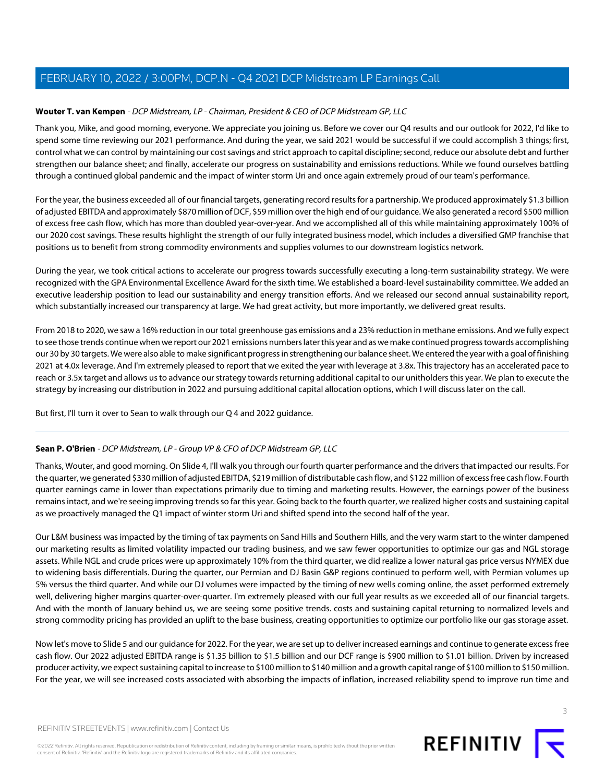## <span id="page-2-1"></span>**Wouter T. van Kempen** - DCP Midstream, LP - Chairman, President & CEO of DCP Midstream GP, LLC

Thank you, Mike, and good morning, everyone. We appreciate you joining us. Before we cover our Q4 results and our outlook for 2022, I'd like to spend some time reviewing our 2021 performance. And during the year, we said 2021 would be successful if we could accomplish 3 things; first, control what we can control by maintaining our cost savings and strict approach to capital discipline; second, reduce our absolute debt and further strengthen our balance sheet; and finally, accelerate our progress on sustainability and emissions reductions. While we found ourselves battling through a continued global pandemic and the impact of winter storm Uri and once again extremely proud of our team's performance.

For the year, the business exceeded all of our financial targets, generating record results for a partnership. We produced approximately \$1.3 billion of adjusted EBITDA and approximately \$870 million of DCF, \$59 million over the high end of our guidance. We also generated a record \$500 million of excess free cash flow, which has more than doubled year-over-year. And we accomplished all of this while maintaining approximately 100% of our 2020 cost savings. These results highlight the strength of our fully integrated business model, which includes a diversified GMP franchise that positions us to benefit from strong commodity environments and supplies volumes to our downstream logistics network.

During the year, we took critical actions to accelerate our progress towards successfully executing a long-term sustainability strategy. We were recognized with the GPA Environmental Excellence Award for the sixth time. We established a board-level sustainability committee. We added an executive leadership position to lead our sustainability and energy transition efforts. And we released our second annual sustainability report, which substantially increased our transparency at large. We had great activity, but more importantly, we delivered great results.

From 2018 to 2020, we saw a 16% reduction in our total greenhouse gas emissions and a 23% reduction in methane emissions. And we fully expect to see those trends continue when we report our 2021 emissions numbers later this year and as we make continued progress towards accomplishing our 30 by 30 targets. We were also able to make significant progress in strengthening our balance sheet. We entered the year with a goal of finishing 2021 at 4.0x leverage. And I'm extremely pleased to report that we exited the year with leverage at 3.8x. This trajectory has an accelerated pace to reach or 3.5x target and allows us to advance our strategy towards returning additional capital to our unitholders this year. We plan to execute the strategy by increasing our distribution in 2022 and pursuing additional capital allocation options, which I will discuss later on the call.

<span id="page-2-0"></span>But first, I'll turn it over to Sean to walk through our Q 4 and 2022 guidance.

## **Sean P. O'Brien** - DCP Midstream, LP - Group VP & CFO of DCP Midstream GP, LLC

Thanks, Wouter, and good morning. On Slide 4, I'll walk you through our fourth quarter performance and the drivers that impacted our results. For the quarter, we generated \$330 million of adjusted EBITDA, \$219 million of distributable cash flow, and \$122 million of excess free cash flow. Fourth quarter earnings came in lower than expectations primarily due to timing and marketing results. However, the earnings power of the business remains intact, and we're seeing improving trends so far this year. Going back to the fourth quarter, we realized higher costs and sustaining capital as we proactively managed the Q1 impact of winter storm Uri and shifted spend into the second half of the year.

Our L&M business was impacted by the timing of tax payments on Sand Hills and Southern Hills, and the very warm start to the winter dampened our marketing results as limited volatility impacted our trading business, and we saw fewer opportunities to optimize our gas and NGL storage assets. While NGL and crude prices were up approximately 10% from the third quarter, we did realize a lower natural gas price versus NYMEX due to widening basis differentials. During the quarter, our Permian and DJ Basin G&P regions continued to perform well, with Permian volumes up 5% versus the third quarter. And while our DJ volumes were impacted by the timing of new wells coming online, the asset performed extremely well, delivering higher margins quarter-over-quarter. I'm extremely pleased with our full year results as we exceeded all of our financial targets. And with the month of January behind us, we are seeing some positive trends. costs and sustaining capital returning to normalized levels and strong commodity pricing has provided an uplift to the base business, creating opportunities to optimize our portfolio like our gas storage asset.

Now let's move to Slide 5 and our guidance for 2022. For the year, we are set up to deliver increased earnings and continue to generate excess free cash flow. Our 2022 adjusted EBITDA range is \$1.35 billion to \$1.5 billion and our DCF range is \$900 million to \$1.01 billion. Driven by increased producer activity, we expect sustaining capital to increase to \$100 million to \$140 million and a growth capital range of \$100 million to \$150 million. For the year, we will see increased costs associated with absorbing the impacts of inflation, increased reliability spend to improve run time and

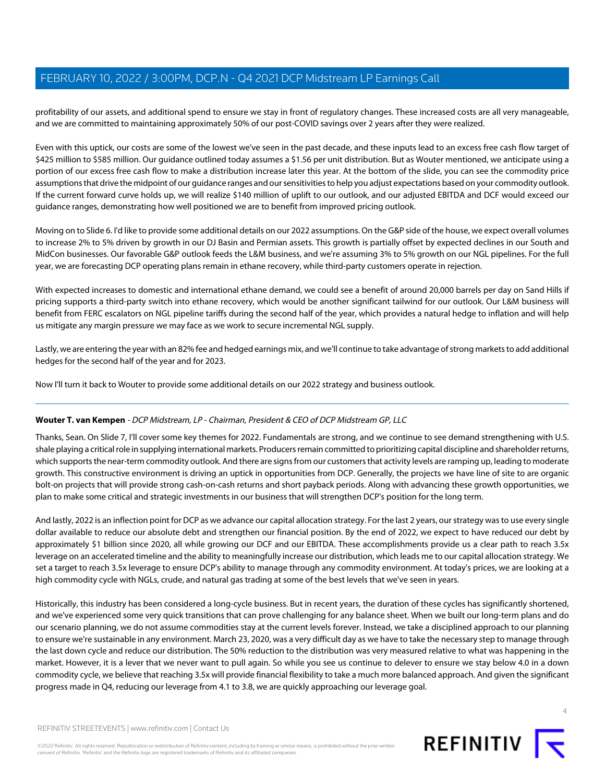profitability of our assets, and additional spend to ensure we stay in front of regulatory changes. These increased costs are all very manageable, and we are committed to maintaining approximately 50% of our post-COVID savings over 2 years after they were realized.

Even with this uptick, our costs are some of the lowest we've seen in the past decade, and these inputs lead to an excess free cash flow target of \$425 million to \$585 million. Our guidance outlined today assumes a \$1.56 per unit distribution. But as Wouter mentioned, we anticipate using a portion of our excess free cash flow to make a distribution increase later this year. At the bottom of the slide, you can see the commodity price assumptions that drive the midpoint of our guidance ranges and our sensitivities to help you adjust expectations based on your commodity outlook. If the current forward curve holds up, we will realize \$140 million of uplift to our outlook, and our adjusted EBITDA and DCF would exceed our guidance ranges, demonstrating how well positioned we are to benefit from improved pricing outlook.

Moving on to Slide 6. I'd like to provide some additional details on our 2022 assumptions. On the G&P side of the house, we expect overall volumes to increase 2% to 5% driven by growth in our DJ Basin and Permian assets. This growth is partially offset by expected declines in our South and MidCon businesses. Our favorable G&P outlook feeds the L&M business, and we're assuming 3% to 5% growth on our NGL pipelines. For the full year, we are forecasting DCP operating plans remain in ethane recovery, while third-party customers operate in rejection.

With expected increases to domestic and international ethane demand, we could see a benefit of around 20,000 barrels per day on Sand Hills if pricing supports a third-party switch into ethane recovery, which would be another significant tailwind for our outlook. Our L&M business will benefit from FERC escalators on NGL pipeline tariffs during the second half of the year, which provides a natural hedge to inflation and will help us mitigate any margin pressure we may face as we work to secure incremental NGL supply.

Lastly, we are entering the year with an 82% fee and hedged earnings mix, and we'll continue to take advantage of strong markets to add additional hedges for the second half of the year and for 2023.

Now I'll turn it back to Wouter to provide some additional details on our 2022 strategy and business outlook.

## **Wouter T. van Kempen** - DCP Midstream, LP - Chairman, President & CEO of DCP Midstream GP, LLC

Thanks, Sean. On Slide 7, I'll cover some key themes for 2022. Fundamentals are strong, and we continue to see demand strengthening with U.S. shale playing a critical role in supplying international markets. Producers remain committed to prioritizing capital discipline and shareholder returns, which supports the near-term commodity outlook. And there are signs from our customers that activity levels are ramping up, leading to moderate growth. This constructive environment is driving an uptick in opportunities from DCP. Generally, the projects we have line of site to are organic bolt-on projects that will provide strong cash-on-cash returns and short payback periods. Along with advancing these growth opportunities, we plan to make some critical and strategic investments in our business that will strengthen DCP's position for the long term.

And lastly, 2022 is an inflection point for DCP as we advance our capital allocation strategy. For the last 2 years, our strategy was to use every single dollar available to reduce our absolute debt and strengthen our financial position. By the end of 2022, we expect to have reduced our debt by approximately \$1 billion since 2020, all while growing our DCF and our EBITDA. These accomplishments provide us a clear path to reach 3.5x leverage on an accelerated timeline and the ability to meaningfully increase our distribution, which leads me to our capital allocation strategy. We set a target to reach 3.5x leverage to ensure DCP's ability to manage through any commodity environment. At today's prices, we are looking at a high commodity cycle with NGLs, crude, and natural gas trading at some of the best levels that we've seen in years.

Historically, this industry has been considered a long-cycle business. But in recent years, the duration of these cycles has significantly shortened, and we've experienced some very quick transitions that can prove challenging for any balance sheet. When we built our long-term plans and do our scenario planning, we do not assume commodities stay at the current levels forever. Instead, we take a disciplined approach to our planning to ensure we're sustainable in any environment. March 23, 2020, was a very difficult day as we have to take the necessary step to manage through the last down cycle and reduce our distribution. The 50% reduction to the distribution was very measured relative to what was happening in the market. However, it is a lever that we never want to pull again. So while you see us continue to delever to ensure we stay below 4.0 in a down commodity cycle, we believe that reaching 3.5x will provide financial flexibility to take a much more balanced approach. And given the significant progress made in Q4, reducing our leverage from 4.1 to 3.8, we are quickly approaching our leverage goal.

©2022 Refinitiv. All rights reserved. Republication or redistribution of Refinitiv content, including by framing or similar means, is prohibited without the prior written consent of Refinitiv. 'Refinitiv' and the Refinitiv logo are registered trademarks of Refinitiv and its affiliated companies.

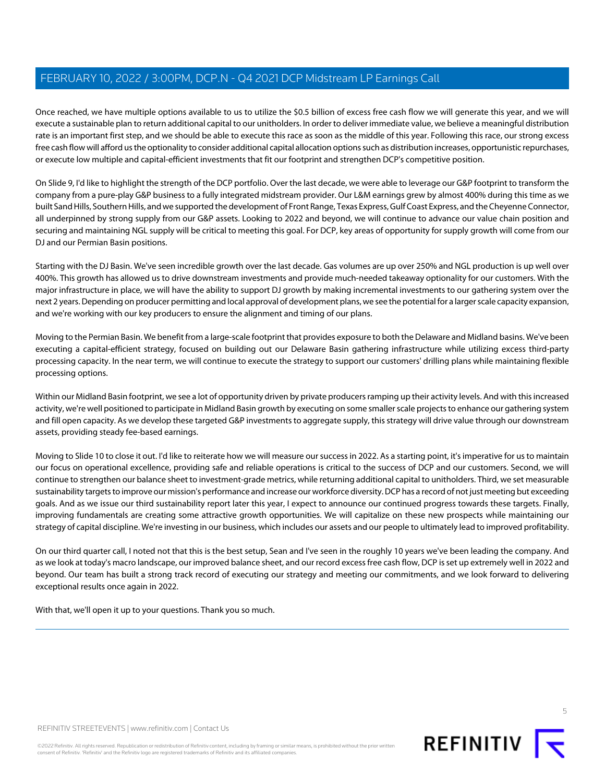Once reached, we have multiple options available to us to utilize the \$0.5 billion of excess free cash flow we will generate this year, and we will execute a sustainable plan to return additional capital to our unitholders. In order to deliver immediate value, we believe a meaningful distribution rate is an important first step, and we should be able to execute this race as soon as the middle of this year. Following this race, our strong excess free cash flow will afford us the optionality to consider additional capital allocation options such as distribution increases, opportunistic repurchases, or execute low multiple and capital-efficient investments that fit our footprint and strengthen DCP's competitive position.

On Slide 9, I'd like to highlight the strength of the DCP portfolio. Over the last decade, we were able to leverage our G&P footprint to transform the company from a pure-play G&P business to a fully integrated midstream provider. Our L&M earnings grew by almost 400% during this time as we built Sand Hills, Southern Hills, and we supported the development of Front Range, Texas Express, Gulf Coast Express, and the Cheyenne Connector, all underpinned by strong supply from our G&P assets. Looking to 2022 and beyond, we will continue to advance our value chain position and securing and maintaining NGL supply will be critical to meeting this goal. For DCP, key areas of opportunity for supply growth will come from our DJ and our Permian Basin positions.

Starting with the DJ Basin. We've seen incredible growth over the last decade. Gas volumes are up over 250% and NGL production is up well over 400%. This growth has allowed us to drive downstream investments and provide much-needed takeaway optionality for our customers. With the major infrastructure in place, we will have the ability to support DJ growth by making incremental investments to our gathering system over the next 2 years. Depending on producer permitting and local approval of development plans, we see the potential for a larger scale capacity expansion, and we're working with our key producers to ensure the alignment and timing of our plans.

Moving to the Permian Basin. We benefit from a large-scale footprint that provides exposure to both the Delaware and Midland basins. We've been executing a capital-efficient strategy, focused on building out our Delaware Basin gathering infrastructure while utilizing excess third-party processing capacity. In the near term, we will continue to execute the strategy to support our customers' drilling plans while maintaining flexible processing options.

Within our Midland Basin footprint, we see a lot of opportunity driven by private producers ramping up their activity levels. And with this increased activity, we're well positioned to participate in Midland Basin growth by executing on some smaller scale projects to enhance our gathering system and fill open capacity. As we develop these targeted G&P investments to aggregate supply, this strategy will drive value through our downstream assets, providing steady fee-based earnings.

Moving to Slide 10 to close it out. I'd like to reiterate how we will measure our success in 2022. As a starting point, it's imperative for us to maintain our focus on operational excellence, providing safe and reliable operations is critical to the success of DCP and our customers. Second, we will continue to strengthen our balance sheet to investment-grade metrics, while returning additional capital to unitholders. Third, we set measurable sustainability targets to improve our mission's performance and increase our workforce diversity. DCP has a record of not just meeting but exceeding goals. And as we issue our third sustainability report later this year, I expect to announce our continued progress towards these targets. Finally, improving fundamentals are creating some attractive growth opportunities. We will capitalize on these new prospects while maintaining our strategy of capital discipline. We're investing in our business, which includes our assets and our people to ultimately lead to improved profitability.

On our third quarter call, I noted not that this is the best setup, Sean and I've seen in the roughly 10 years we've been leading the company. And as we look at today's macro landscape, our improved balance sheet, and our record excess free cash flow, DCP is set up extremely well in 2022 and beyond. Our team has built a strong track record of executing our strategy and meeting our commitments, and we look forward to delivering exceptional results once again in 2022.

With that, we'll open it up to your questions. Thank you so much.

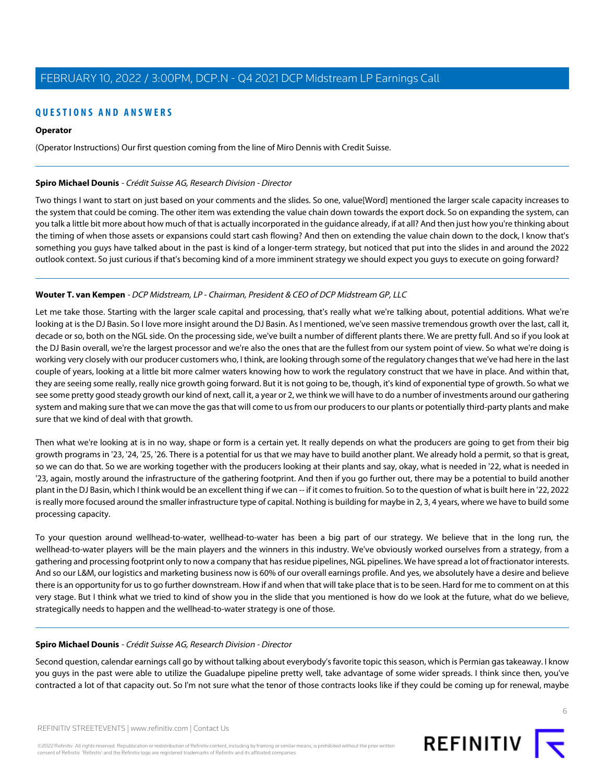## **QUESTIONS AND ANSWERS**

#### **Operator**

(Operator Instructions) Our first question coming from the line of Miro Dennis with Credit Suisse.

#### <span id="page-5-0"></span>**Spiro Michael Dounis** - Crédit Suisse AG, Research Division - Director

Two things I want to start on just based on your comments and the slides. So one, value[Word] mentioned the larger scale capacity increases to the system that could be coming. The other item was extending the value chain down towards the export dock. So on expanding the system, can you talk a little bit more about how much of that is actually incorporated in the guidance already, if at all? And then just how you're thinking about the timing of when those assets or expansions could start cash flowing? And then on extending the value chain down to the dock, I know that's something you guys have talked about in the past is kind of a longer-term strategy, but noticed that put into the slides in and around the 2022 outlook context. So just curious if that's becoming kind of a more imminent strategy we should expect you guys to execute on going forward?

## **Wouter T. van Kempen** - DCP Midstream, LP - Chairman, President & CEO of DCP Midstream GP, LLC

Let me take those. Starting with the larger scale capital and processing, that's really what we're talking about, potential additions. What we're looking at is the DJ Basin. So I love more insight around the DJ Basin. As I mentioned, we've seen massive tremendous growth over the last, call it, decade or so, both on the NGL side. On the processing side, we've built a number of different plants there. We are pretty full. And so if you look at the DJ Basin overall, we're the largest processor and we're also the ones that are the fullest from our system point of view. So what we're doing is working very closely with our producer customers who, I think, are looking through some of the regulatory changes that we've had here in the last couple of years, looking at a little bit more calmer waters knowing how to work the regulatory construct that we have in place. And within that, they are seeing some really, really nice growth going forward. But it is not going to be, though, it's kind of exponential type of growth. So what we see some pretty good steady growth our kind of next, call it, a year or 2, we think we will have to do a number of investments around our gathering system and making sure that we can move the gas that will come to us from our producers to our plants or potentially third-party plants and make sure that we kind of deal with that growth.

Then what we're looking at is in no way, shape or form is a certain yet. It really depends on what the producers are going to get from their big growth programs in '23, '24, '25, '26. There is a potential for us that we may have to build another plant. We already hold a permit, so that is great, so we can do that. So we are working together with the producers looking at their plants and say, okay, what is needed in '22, what is needed in '23, again, mostly around the infrastructure of the gathering footprint. And then if you go further out, there may be a potential to build another plant in the DJ Basin, which I think would be an excellent thing if we can -- if it comes to fruition. So to the question of what is built here in '22, 2022 is really more focused around the smaller infrastructure type of capital. Nothing is building for maybe in 2, 3, 4 years, where we have to build some processing capacity.

To your question around wellhead-to-water, wellhead-to-water has been a big part of our strategy. We believe that in the long run, the wellhead-to-water players will be the main players and the winners in this industry. We've obviously worked ourselves from a strategy, from a gathering and processing footprint only to now a company that has residue pipelines, NGL pipelines. We have spread a lot of fractionator interests. And so our L&M, our logistics and marketing business now is 60% of our overall earnings profile. And yes, we absolutely have a desire and believe there is an opportunity for us to go further downstream. How if and when that will take place that is to be seen. Hard for me to comment on at this very stage. But I think what we tried to kind of show you in the slide that you mentioned is how do we look at the future, what do we believe, strategically needs to happen and the wellhead-to-water strategy is one of those.

#### **Spiro Michael Dounis** - Crédit Suisse AG, Research Division - Director

Second question, calendar earnings call go by without talking about everybody's favorite topic this season, which is Permian gas takeaway. I know you guys in the past were able to utilize the Guadalupe pipeline pretty well, take advantage of some wider spreads. I think since then, you've contracted a lot of that capacity out. So I'm not sure what the tenor of those contracts looks like if they could be coming up for renewal, maybe

©2022 Refinitiv. All rights reserved. Republication or redistribution of Refinitiv content, including by framing or similar means, is prohibited without the prior written consent of Refinitiv. 'Refinitiv' and the Refinitiv logo are registered trademarks of Refinitiv and its affiliated companies.

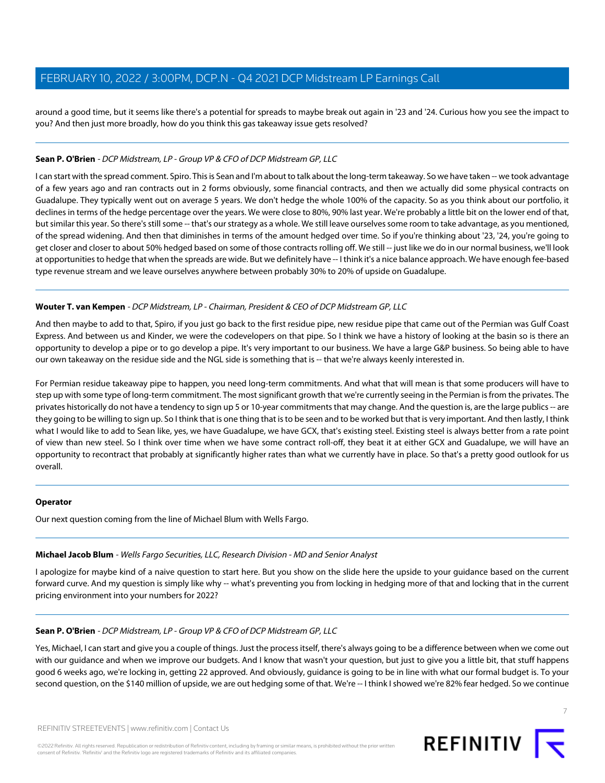around a good time, but it seems like there's a potential for spreads to maybe break out again in '23 and '24. Curious how you see the impact to you? And then just more broadly, how do you think this gas takeaway issue gets resolved?

## **Sean P. O'Brien** - DCP Midstream, LP - Group VP & CFO of DCP Midstream GP, LLC

I can start with the spread comment. Spiro. This is Sean and I'm about to talk about the long-term takeaway. So we have taken -- we took advantage of a few years ago and ran contracts out in 2 forms obviously, some financial contracts, and then we actually did some physical contracts on Guadalupe. They typically went out on average 5 years. We don't hedge the whole 100% of the capacity. So as you think about our portfolio, it declines in terms of the hedge percentage over the years. We were close to 80%, 90% last year. We're probably a little bit on the lower end of that, but similar this year. So there's still some -- that's our strategy as a whole. We still leave ourselves some room to take advantage, as you mentioned, of the spread widening. And then that diminishes in terms of the amount hedged over time. So if you're thinking about '23, '24, you're going to get closer and closer to about 50% hedged based on some of those contracts rolling off. We still -- just like we do in our normal business, we'll look at opportunities to hedge that when the spreads are wide. But we definitely have -- I think it's a nice balance approach. We have enough fee-based type revenue stream and we leave ourselves anywhere between probably 30% to 20% of upside on Guadalupe.

## **Wouter T. van Kempen** - DCP Midstream, LP - Chairman, President & CEO of DCP Midstream GP, LLC

And then maybe to add to that, Spiro, if you just go back to the first residue pipe, new residue pipe that came out of the Permian was Gulf Coast Express. And between us and Kinder, we were the codevelopers on that pipe. So I think we have a history of looking at the basin so is there an opportunity to develop a pipe or to go develop a pipe. It's very important to our business. We have a large G&P business. So being able to have our own takeaway on the residue side and the NGL side is something that is -- that we're always keenly interested in.

For Permian residue takeaway pipe to happen, you need long-term commitments. And what that will mean is that some producers will have to step up with some type of long-term commitment. The most significant growth that we're currently seeing in the Permian is from the privates. The privates historically do not have a tendency to sign up 5 or 10-year commitments that may change. And the question is, are the large publics -- are they going to be willing to sign up. So I think that is one thing that is to be seen and to be worked but that is very important. And then lastly, I think what I would like to add to Sean like, yes, we have Guadalupe, we have GCX, that's existing steel. Existing steel is always better from a rate point of view than new steel. So I think over time when we have some contract roll-off, they beat it at either GCX and Guadalupe, we will have an opportunity to recontract that probably at significantly higher rates than what we currently have in place. So that's a pretty good outlook for us overall.

## <span id="page-6-0"></span>**Operator**

Our next question coming from the line of Michael Blum with Wells Fargo.

## **Michael Jacob Blum** - Wells Fargo Securities, LLC, Research Division - MD and Senior Analyst

I apologize for maybe kind of a naive question to start here. But you show on the slide here the upside to your guidance based on the current forward curve. And my question is simply like why -- what's preventing you from locking in hedging more of that and locking that in the current pricing environment into your numbers for 2022?

## **Sean P. O'Brien** - DCP Midstream, LP - Group VP & CFO of DCP Midstream GP, LLC

Yes, Michael, I can start and give you a couple of things. Just the process itself, there's always going to be a difference between when we come out with our guidance and when we improve our budgets. And I know that wasn't your question, but just to give you a little bit, that stuff happens good 6 weeks ago, we're locking in, getting 22 approved. And obviously, guidance is going to be in line with what our formal budget is. To your second question, on the \$140 million of upside, we are out hedging some of that. We're -- I think I showed we're 82% fear hedged. So we continue

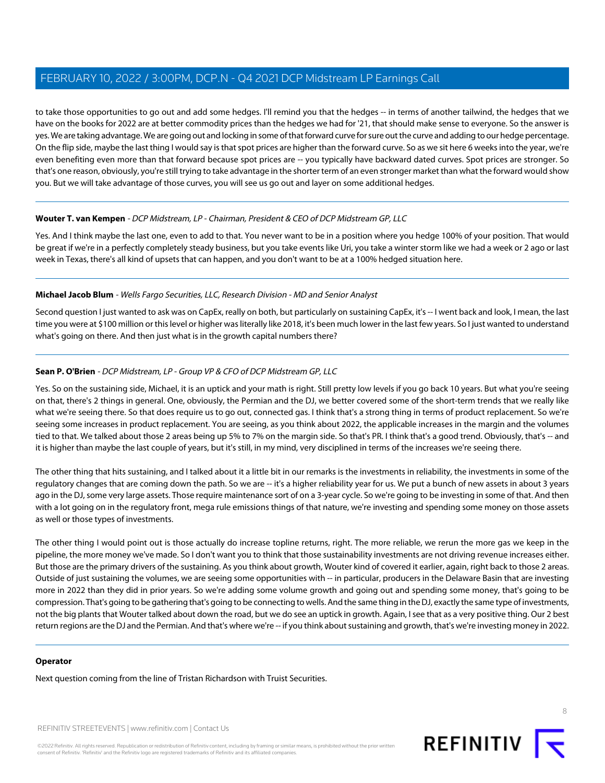to take those opportunities to go out and add some hedges. I'll remind you that the hedges -- in terms of another tailwind, the hedges that we have on the books for 2022 are at better commodity prices than the hedges we had for '21, that should make sense to everyone. So the answer is yes. We are taking advantage. We are going out and locking in some of that forward curve for sure out the curve and adding to our hedge percentage. On the flip side, maybe the last thing I would say is that spot prices are higher than the forward curve. So as we sit here 6 weeks into the year, we're even benefiting even more than that forward because spot prices are -- you typically have backward dated curves. Spot prices are stronger. So that's one reason, obviously, you're still trying to take advantage in the shorter term of an even stronger market than what the forward would show you. But we will take advantage of those curves, you will see us go out and layer on some additional hedges.

## **Wouter T. van Kempen** - DCP Midstream, LP - Chairman, President & CEO of DCP Midstream GP, LLC

Yes. And I think maybe the last one, even to add to that. You never want to be in a position where you hedge 100% of your position. That would be great if we're in a perfectly completely steady business, but you take events like Uri, you take a winter storm like we had a week or 2 ago or last week in Texas, there's all kind of upsets that can happen, and you don't want to be at a 100% hedged situation here.

## **Michael Jacob Blum** - Wells Fargo Securities, LLC, Research Division - MD and Senior Analyst

Second question I just wanted to ask was on CapEx, really on both, but particularly on sustaining CapEx, it's -- I went back and look, I mean, the last time you were at \$100 million or this level or higher was literally like 2018, it's been much lower in the last few years. So I just wanted to understand what's going on there. And then just what is in the growth capital numbers there?

## **Sean P. O'Brien** - DCP Midstream, LP - Group VP & CFO of DCP Midstream GP, LLC

Yes. So on the sustaining side, Michael, it is an uptick and your math is right. Still pretty low levels if you go back 10 years. But what you're seeing on that, there's 2 things in general. One, obviously, the Permian and the DJ, we better covered some of the short-term trends that we really like what we're seeing there. So that does require us to go out, connected gas. I think that's a strong thing in terms of product replacement. So we're seeing some increases in product replacement. You are seeing, as you think about 2022, the applicable increases in the margin and the volumes tied to that. We talked about those 2 areas being up 5% to 7% on the margin side. So that's PR. I think that's a good trend. Obviously, that's -- and it is higher than maybe the last couple of years, but it's still, in my mind, very disciplined in terms of the increases we're seeing there.

The other thing that hits sustaining, and I talked about it a little bit in our remarks is the investments in reliability, the investments in some of the regulatory changes that are coming down the path. So we are -- it's a higher reliability year for us. We put a bunch of new assets in about 3 years ago in the DJ, some very large assets. Those require maintenance sort of on a 3-year cycle. So we're going to be investing in some of that. And then with a lot going on in the regulatory front, mega rule emissions things of that nature, we're investing and spending some money on those assets as well or those types of investments.

The other thing I would point out is those actually do increase topline returns, right. The more reliable, we rerun the more gas we keep in the pipeline, the more money we've made. So I don't want you to think that those sustainability investments are not driving revenue increases either. But those are the primary drivers of the sustaining. As you think about growth, Wouter kind of covered it earlier, again, right back to those 2 areas. Outside of just sustaining the volumes, we are seeing some opportunities with -- in particular, producers in the Delaware Basin that are investing more in 2022 than they did in prior years. So we're adding some volume growth and going out and spending some money, that's going to be compression. That's going to be gathering that's going to be connecting to wells. And the same thing in the DJ, exactly the same type of investments, not the big plants that Wouter talked about down the road, but we do see an uptick in growth. Again, I see that as a very positive thing. Our 2 best return regions are the DJ and the Permian. And that's where we're -- if you think about sustaining and growth, that's we're investing money in 2022.

## **Operator**

Next question coming from the line of Tristan Richardson with Truist Securities.

REFINITIV STREETEVENTS | [www.refinitiv.com](https://www.refinitiv.com/) | [Contact Us](https://www.refinitiv.com/en/contact-us)

©2022 Refinitiv. All rights reserved. Republication or redistribution of Refinitiv content, including by framing or similar means, is prohibited without the prior written consent of Refinitiv. 'Refinitiv' and the Refinitiv logo are registered trademarks of Refinitiv and its affiliated companies.



8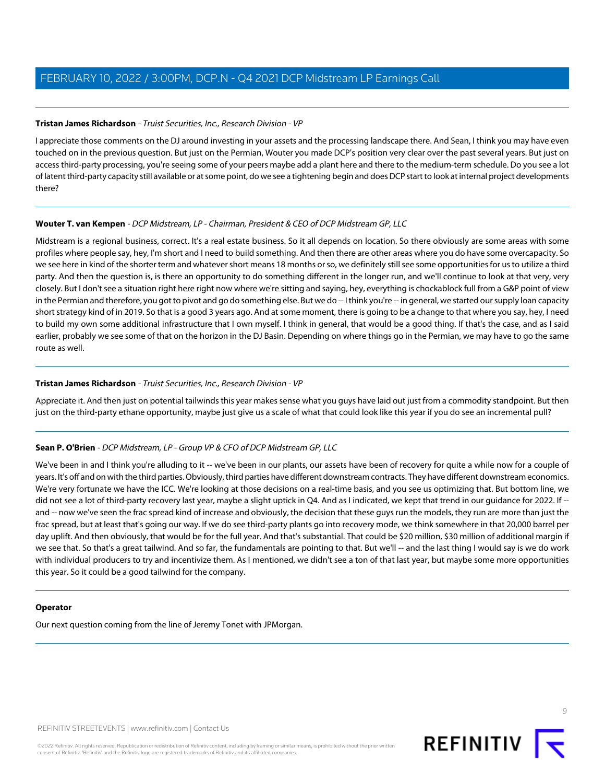#### <span id="page-8-0"></span>**Tristan James Richardson** - Truist Securities, Inc., Research Division - VP

I appreciate those comments on the DJ around investing in your assets and the processing landscape there. And Sean, I think you may have even touched on in the previous question. But just on the Permian, Wouter you made DCP's position very clear over the past several years. But just on access third-party processing, you're seeing some of your peers maybe add a plant here and there to the medium-term schedule. Do you see a lot of latent third-party capacity still available or at some point, do we see a tightening begin and does DCP start to look at internal project developments there?

#### **Wouter T. van Kempen** - DCP Midstream, LP - Chairman, President & CEO of DCP Midstream GP, LLC

Midstream is a regional business, correct. It's a real estate business. So it all depends on location. So there obviously are some areas with some profiles where people say, hey, I'm short and I need to build something. And then there are other areas where you do have some overcapacity. So we see here in kind of the shorter term and whatever short means 18 months or so, we definitely still see some opportunities for us to utilize a third party. And then the question is, is there an opportunity to do something different in the longer run, and we'll continue to look at that very, very closely. But I don't see a situation right here right now where we're sitting and saying, hey, everything is chockablock full from a G&P point of view in the Permian and therefore, you got to pivot and go do something else. But we do -- I think you're -- in general, we started our supply loan capacity short strategy kind of in 2019. So that is a good 3 years ago. And at some moment, there is going to be a change to that where you say, hey, I need to build my own some additional infrastructure that I own myself. I think in general, that would be a good thing. If that's the case, and as I said earlier, probably we see some of that on the horizon in the DJ Basin. Depending on where things go in the Permian, we may have to go the same route as well.

#### **Tristan James Richardson** - Truist Securities, Inc., Research Division - VP

Appreciate it. And then just on potential tailwinds this year makes sense what you guys have laid out just from a commodity standpoint. But then just on the third-party ethane opportunity, maybe just give us a scale of what that could look like this year if you do see an incremental pull?

## **Sean P. O'Brien** - DCP Midstream, LP - Group VP & CFO of DCP Midstream GP, LLC

We've been in and I think you're alluding to it -- we've been in our plants, our assets have been of recovery for quite a while now for a couple of years. It's off and on with the third parties. Obviously, third parties have different downstream contracts. They have different downstream economics. We're very fortunate we have the ICC. We're looking at those decisions on a real-time basis, and you see us optimizing that. But bottom line, we did not see a lot of third-party recovery last year, maybe a slight uptick in Q4. And as I indicated, we kept that trend in our guidance for 2022. If - and -- now we've seen the frac spread kind of increase and obviously, the decision that these guys run the models, they run are more than just the frac spread, but at least that's going our way. If we do see third-party plants go into recovery mode, we think somewhere in that 20,000 barrel per day uplift. And then obviously, that would be for the full year. And that's substantial. That could be \$20 million, \$30 million of additional margin if we see that. So that's a great tailwind. And so far, the fundamentals are pointing to that. But we'll -- and the last thing I would say is we do work with individual producers to try and incentivize them. As I mentioned, we didn't see a ton of that last year, but maybe some more opportunities this year. So it could be a good tailwind for the company.

#### **Operator**

Our next question coming from the line of Jeremy Tonet with JPMorgan.

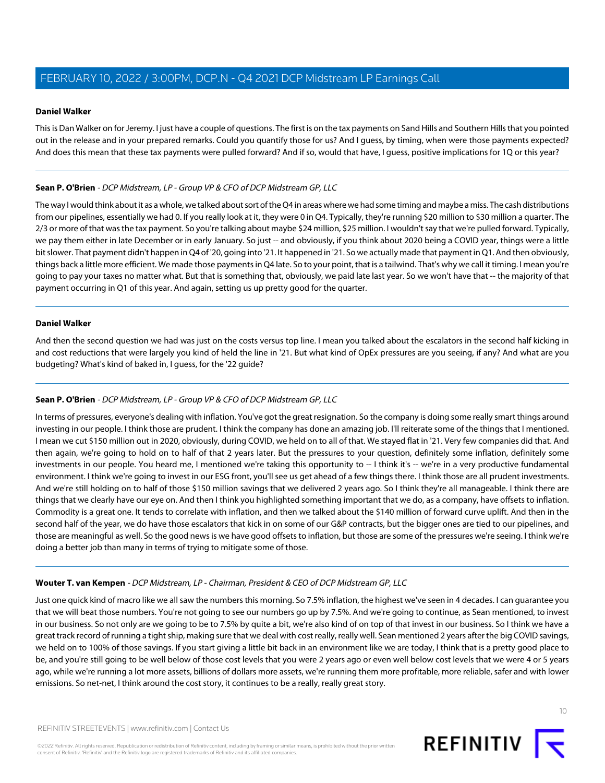## <span id="page-9-0"></span>**Daniel Walker**

This is Dan Walker on for Jeremy. I just have a couple of questions. The first is on the tax payments on Sand Hills and Southern Hills that you pointed out in the release and in your prepared remarks. Could you quantify those for us? And I guess, by timing, when were those payments expected? And does this mean that these tax payments were pulled forward? And if so, would that have, I guess, positive implications for 1Q or this year?

## **Sean P. O'Brien** - DCP Midstream, LP - Group VP & CFO of DCP Midstream GP, LLC

The way I would think about it as a whole, we talked about sort of the Q4 in areas where we had some timing and maybe a miss. The cash distributions from our pipelines, essentially we had 0. If you really look at it, they were 0 in Q4. Typically, they're running \$20 million to \$30 million a quarter. The 2/3 or more of that was the tax payment. So you're talking about maybe \$24 million, \$25 million. I wouldn't say that we're pulled forward. Typically, we pay them either in late December or in early January. So just -- and obviously, if you think about 2020 being a COVID year, things were a little bit slower. That payment didn't happen in Q4 of '20, going into '21. It happened in '21. So we actually made that payment in Q1. And then obviously, things back a little more efficient. We made those payments in Q4 late. So to your point, that is a tailwind. That's why we call it timing. I mean you're going to pay your taxes no matter what. But that is something that, obviously, we paid late last year. So we won't have that -- the majority of that payment occurring in Q1 of this year. And again, setting us up pretty good for the quarter.

## **Daniel Walker**

And then the second question we had was just on the costs versus top line. I mean you talked about the escalators in the second half kicking in and cost reductions that were largely you kind of held the line in '21. But what kind of OpEx pressures are you seeing, if any? And what are you budgeting? What's kind of baked in, I guess, for the '22 guide?

## **Sean P. O'Brien** - DCP Midstream, LP - Group VP & CFO of DCP Midstream GP, LLC

In terms of pressures, everyone's dealing with inflation. You've got the great resignation. So the company is doing some really smart things around investing in our people. I think those are prudent. I think the company has done an amazing job. I'll reiterate some of the things that I mentioned. I mean we cut \$150 million out in 2020, obviously, during COVID, we held on to all of that. We stayed flat in '21. Very few companies did that. And then again, we're going to hold on to half of that 2 years later. But the pressures to your question, definitely some inflation, definitely some investments in our people. You heard me, I mentioned we're taking this opportunity to -- I think it's -- we're in a very productive fundamental environment. I think we're going to invest in our ESG front, you'll see us get ahead of a few things there. I think those are all prudent investments. And we're still holding on to half of those \$150 million savings that we delivered 2 years ago. So I think they're all manageable. I think there are things that we clearly have our eye on. And then I think you highlighted something important that we do, as a company, have offsets to inflation. Commodity is a great one. It tends to correlate with inflation, and then we talked about the \$140 million of forward curve uplift. And then in the second half of the year, we do have those escalators that kick in on some of our G&P contracts, but the bigger ones are tied to our pipelines, and those are meaningful as well. So the good news is we have good offsets to inflation, but those are some of the pressures we're seeing. I think we're doing a better job than many in terms of trying to mitigate some of those.

## **Wouter T. van Kempen** - DCP Midstream, LP - Chairman, President & CEO of DCP Midstream GP, LLC

Just one quick kind of macro like we all saw the numbers this morning. So 7.5% inflation, the highest we've seen in 4 decades. I can guarantee you that we will beat those numbers. You're not going to see our numbers go up by 7.5%. And we're going to continue, as Sean mentioned, to invest in our business. So not only are we going to be to 7.5% by quite a bit, we're also kind of on top of that invest in our business. So I think we have a great track record of running a tight ship, making sure that we deal with cost really, really well. Sean mentioned 2 years after the big COVID savings, we held on to 100% of those savings. If you start giving a little bit back in an environment like we are today, I think that is a pretty good place to be, and you're still going to be well below of those cost levels that you were 2 years ago or even well below cost levels that we were 4 or 5 years ago, while we're running a lot more assets, billions of dollars more assets, we're running them more profitable, more reliable, safer and with lower emissions. So net-net, I think around the cost story, it continues to be a really, really great story.

©2022 Refinitiv. All rights reserved. Republication or redistribution of Refinitiv content, including by framing or similar means, is prohibited without the prior written consent of Refinitiv. 'Refinitiv' and the Refinitiv logo are registered trademarks of Refinitiv and its affiliated companies.

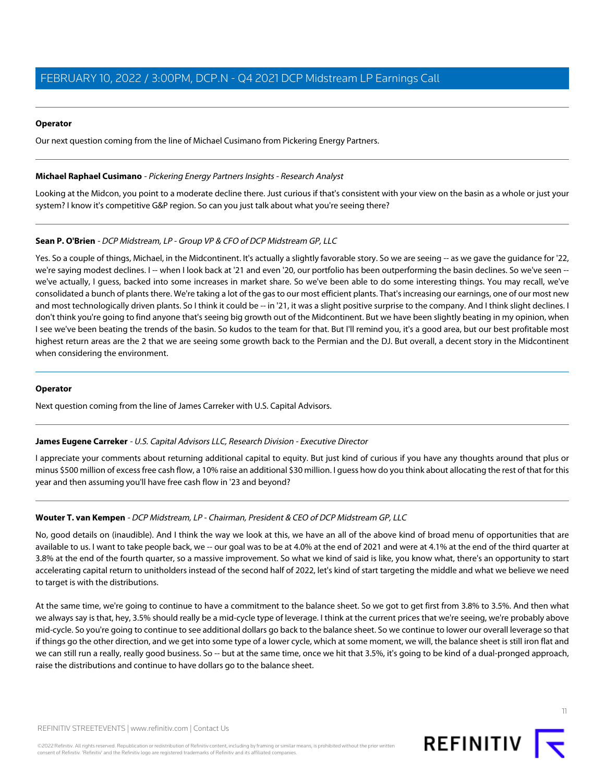#### **Operator**

<span id="page-10-1"></span>Our next question coming from the line of Michael Cusimano from Pickering Energy Partners.

#### **Michael Raphael Cusimano** - Pickering Energy Partners Insights - Research Analyst

Looking at the Midcon, you point to a moderate decline there. Just curious if that's consistent with your view on the basin as a whole or just your system? I know it's competitive G&P region. So can you just talk about what you're seeing there?

## **Sean P. O'Brien** - DCP Midstream, LP - Group VP & CFO of DCP Midstream GP, LLC

Yes. So a couple of things, Michael, in the Midcontinent. It's actually a slightly favorable story. So we are seeing -- as we gave the guidance for '22, we're saying modest declines. I-- when I look back at '21 and even '20, our portfolio has been outperforming the basin declines. So we've seen -we've actually, I guess, backed into some increases in market share. So we've been able to do some interesting things. You may recall, we've consolidated a bunch of plants there. We're taking a lot of the gas to our most efficient plants. That's increasing our earnings, one of our most new and most technologically driven plants. So I think it could be -- in '21, it was a slight positive surprise to the company. And I think slight declines. I don't think you're going to find anyone that's seeing big growth out of the Midcontinent. But we have been slightly beating in my opinion, when I see we've been beating the trends of the basin. So kudos to the team for that. But I'll remind you, it's a good area, but our best profitable most highest return areas are the 2 that we are seeing some growth back to the Permian and the DJ. But overall, a decent story in the Midcontinent when considering the environment.

#### <span id="page-10-0"></span>**Operator**

Next question coming from the line of James Carreker with U.S. Capital Advisors.

## **James Eugene Carreker** - U.S. Capital Advisors LLC, Research Division - Executive Director

I appreciate your comments about returning additional capital to equity. But just kind of curious if you have any thoughts around that plus or minus \$500 million of excess free cash flow, a 10% raise an additional \$30 million. I guess how do you think about allocating the rest of that for this year and then assuming you'll have free cash flow in '23 and beyond?

## **Wouter T. van Kempen** - DCP Midstream, LP - Chairman, President & CEO of DCP Midstream GP, LLC

No, good details on (inaudible). And I think the way we look at this, we have an all of the above kind of broad menu of opportunities that are available to us. I want to take people back, we -- our goal was to be at 4.0% at the end of 2021 and were at 4.1% at the end of the third quarter at 3.8% at the end of the fourth quarter, so a massive improvement. So what we kind of said is like, you know what, there's an opportunity to start accelerating capital return to unitholders instead of the second half of 2022, let's kind of start targeting the middle and what we believe we need to target is with the distributions.

At the same time, we're going to continue to have a commitment to the balance sheet. So we got to get first from 3.8% to 3.5%. And then what we always say is that, hey, 3.5% should really be a mid-cycle type of leverage. I think at the current prices that we're seeing, we're probably above mid-cycle. So you're going to continue to see additional dollars go back to the balance sheet. So we continue to lower our overall leverage so that if things go the other direction, and we get into some type of a lower cycle, which at some moment, we will, the balance sheet is still iron flat and we can still run a really, really good business. So -- but at the same time, once we hit that 3.5%, it's going to be kind of a dual-pronged approach, raise the distributions and continue to have dollars go to the balance sheet.

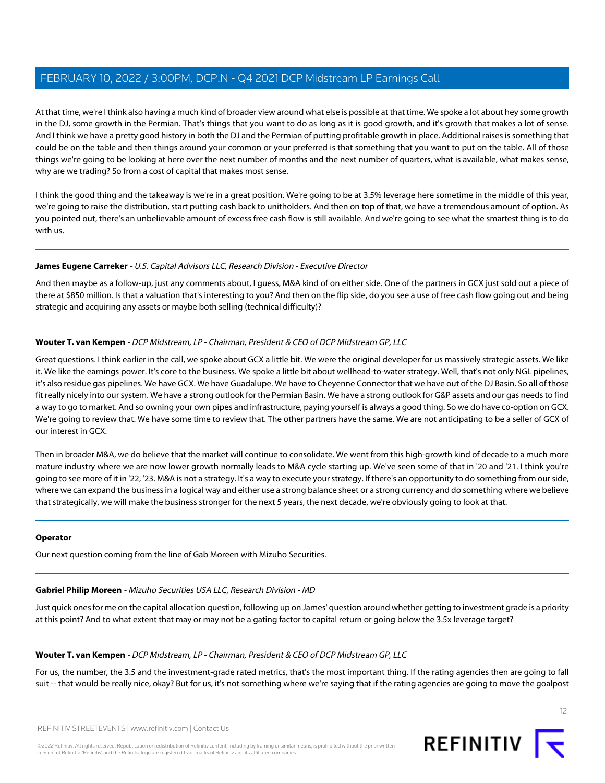At that time, we're I think also having a much kind of broader view around what else is possible at that time. We spoke a lot about hey some growth in the DJ, some growth in the Permian. That's things that you want to do as long as it is good growth, and it's growth that makes a lot of sense. And I think we have a pretty good history in both the DJ and the Permian of putting profitable growth in place. Additional raises is something that could be on the table and then things around your common or your preferred is that something that you want to put on the table. All of those things we're going to be looking at here over the next number of months and the next number of quarters, what is available, what makes sense, why are we trading? So from a cost of capital that makes most sense.

I think the good thing and the takeaway is we're in a great position. We're going to be at 3.5% leverage here sometime in the middle of this year, we're going to raise the distribution, start putting cash back to unitholders. And then on top of that, we have a tremendous amount of option. As you pointed out, there's an unbelievable amount of excess free cash flow is still available. And we're going to see what the smartest thing is to do with us.

## **James Eugene Carreker** - U.S. Capital Advisors LLC, Research Division - Executive Director

And then maybe as a follow-up, just any comments about, I guess, M&A kind of on either side. One of the partners in GCX just sold out a piece of there at \$850 million. Is that a valuation that's interesting to you? And then on the flip side, do you see a use of free cash flow going out and being strategic and acquiring any assets or maybe both selling (technical difficulty)?

## **Wouter T. van Kempen** - DCP Midstream, LP - Chairman, President & CEO of DCP Midstream GP, LLC

Great questions. I think earlier in the call, we spoke about GCX a little bit. We were the original developer for us massively strategic assets. We like it. We like the earnings power. It's core to the business. We spoke a little bit about wellhead-to-water strategy. Well, that's not only NGL pipelines, it's also residue gas pipelines. We have GCX. We have Guadalupe. We have to Cheyenne Connector that we have out of the DJ Basin. So all of those fit really nicely into our system. We have a strong outlook for the Permian Basin. We have a strong outlook for G&P assets and our gas needs to find a way to go to market. And so owning your own pipes and infrastructure, paying yourself is always a good thing. So we do have co-option on GCX. We're going to review that. We have some time to review that. The other partners have the same. We are not anticipating to be a seller of GCX of our interest in GCX.

Then in broader M&A, we do believe that the market will continue to consolidate. We went from this high-growth kind of decade to a much more mature industry where we are now lower growth normally leads to M&A cycle starting up. We've seen some of that in '20 and '21. I think you're going to see more of it in '22, '23. M&A is not a strategy. It's a way to execute your strategy. If there's an opportunity to do something from our side, where we can expand the business in a logical way and either use a strong balance sheet or a strong currency and do something where we believe that strategically, we will make the business stronger for the next 5 years, the next decade, we're obviously going to look at that.

## <span id="page-11-0"></span>**Operator**

Our next question coming from the line of Gab Moreen with Mizuho Securities.

## **Gabriel Philip Moreen** - Mizuho Securities USA LLC, Research Division - MD

Just quick ones for me on the capital allocation question, following up on James' question around whether getting to investment grade is a priority at this point? And to what extent that may or may not be a gating factor to capital return or going below the 3.5x leverage target?

## **Wouter T. van Kempen** - DCP Midstream, LP - Chairman, President & CEO of DCP Midstream GP, LLC

For us, the number, the 3.5 and the investment-grade rated metrics, that's the most important thing. If the rating agencies then are going to fall suit -- that would be really nice, okay? But for us, it's not something where we're saying that if the rating agencies are going to move the goalpost

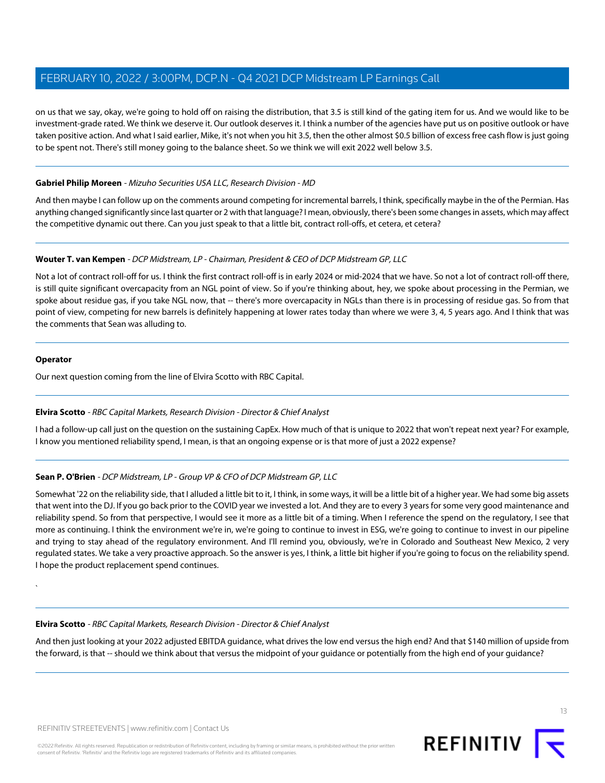on us that we say, okay, we're going to hold off on raising the distribution, that 3.5 is still kind of the gating item for us. And we would like to be investment-grade rated. We think we deserve it. Our outlook deserves it. I think a number of the agencies have put us on positive outlook or have taken positive action. And what I said earlier, Mike, it's not when you hit 3.5, then the other almost \$0.5 billion of excess free cash flow is just going to be spent not. There's still money going to the balance sheet. So we think we will exit 2022 well below 3.5.

## **Gabriel Philip Moreen** - Mizuho Securities USA LLC, Research Division - MD

And then maybe I can follow up on the comments around competing for incremental barrels, I think, specifically maybe in the of the Permian. Has anything changed significantly since last quarter or 2 with that language? I mean, obviously, there's been some changes in assets, which may affect the competitive dynamic out there. Can you just speak to that a little bit, contract roll-offs, et cetera, et cetera?

## **Wouter T. van Kempen** - DCP Midstream, LP - Chairman, President & CEO of DCP Midstream GP, LLC

Not a lot of contract roll-off for us. I think the first contract roll-off is in early 2024 or mid-2024 that we have. So not a lot of contract roll-off there, is still quite significant overcapacity from an NGL point of view. So if you're thinking about, hey, we spoke about processing in the Permian, we spoke about residue gas, if you take NGL now, that -- there's more overcapacity in NGLs than there is in processing of residue gas. So from that point of view, competing for new barrels is definitely happening at lower rates today than where we were 3, 4, 5 years ago. And I think that was the comments that Sean was alluding to.

#### **Operator**

`

<span id="page-12-0"></span>Our next question coming from the line of Elvira Scotto with RBC Capital.

## **Elvira Scotto** - RBC Capital Markets, Research Division - Director & Chief Analyst

I had a follow-up call just on the question on the sustaining CapEx. How much of that is unique to 2022 that won't repeat next year? For example, I know you mentioned reliability spend, I mean, is that an ongoing expense or is that more of just a 2022 expense?

## **Sean P. O'Brien** - DCP Midstream, LP - Group VP & CFO of DCP Midstream GP, LLC

Somewhat '22 on the reliability side, that I alluded a little bit to it, I think, in some ways, it will be a little bit of a higher year. We had some big assets that went into the DJ. If you go back prior to the COVID year we invested a lot. And they are to every 3 years for some very good maintenance and reliability spend. So from that perspective, I would see it more as a little bit of a timing. When I reference the spend on the regulatory, I see that more as continuing. I think the environment we're in, we're going to continue to invest in ESG, we're going to continue to invest in our pipeline and trying to stay ahead of the regulatory environment. And I'll remind you, obviously, we're in Colorado and Southeast New Mexico, 2 very regulated states. We take a very proactive approach. So the answer is yes, I think, a little bit higher if you're going to focus on the reliability spend. I hope the product replacement spend continues.

## **Elvira Scotto** - RBC Capital Markets, Research Division - Director & Chief Analyst

And then just looking at your 2022 adjusted EBITDA guidance, what drives the low end versus the high end? And that \$140 million of upside from the forward, is that -- should we think about that versus the midpoint of your guidance or potentially from the high end of your guidance?

13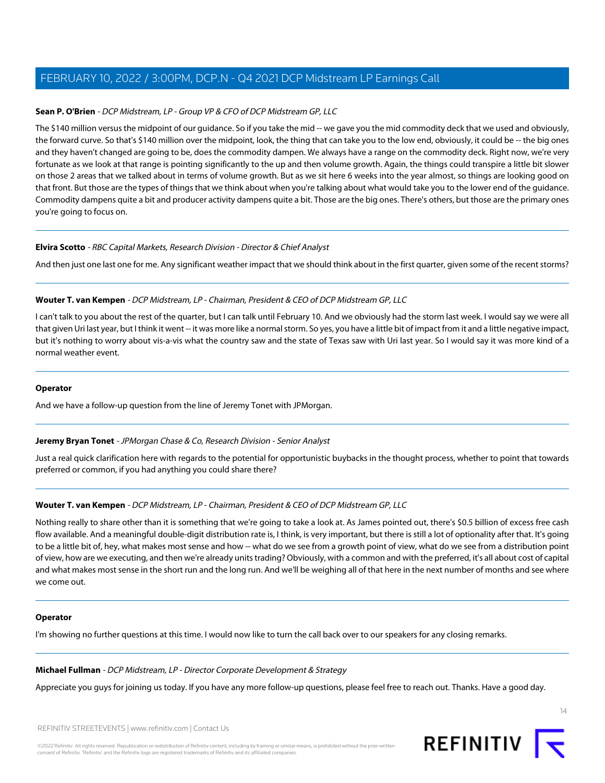## **Sean P. O'Brien** - DCP Midstream, LP - Group VP & CFO of DCP Midstream GP, LLC

The \$140 million versus the midpoint of our guidance. So if you take the mid -- we gave you the mid commodity deck that we used and obviously, the forward curve. So that's \$140 million over the midpoint, look, the thing that can take you to the low end, obviously, it could be -- the big ones and they haven't changed are going to be, does the commodity dampen. We always have a range on the commodity deck. Right now, we're very fortunate as we look at that range is pointing significantly to the up and then volume growth. Again, the things could transpire a little bit slower on those 2 areas that we talked about in terms of volume growth. But as we sit here 6 weeks into the year almost, so things are looking good on that front. But those are the types of things that we think about when you're talking about what would take you to the lower end of the guidance. Commodity dampens quite a bit and producer activity dampens quite a bit. Those are the big ones. There's others, but those are the primary ones you're going to focus on.

## **Elvira Scotto** - RBC Capital Markets, Research Division - Director & Chief Analyst

And then just one last one for me. Any significant weather impact that we should think about in the first quarter, given some of the recent storms?

## **Wouter T. van Kempen** - DCP Midstream, LP - Chairman, President & CEO of DCP Midstream GP, LLC

I can't talk to you about the rest of the quarter, but I can talk until February 10. And we obviously had the storm last week. I would say we were all that given Uri last year, but I think it went -- it was more like a normal storm. So yes, you have a little bit of impact from it and a little negative impact, but it's nothing to worry about vis-a-vis what the country saw and the state of Texas saw with Uri last year. So I would say it was more kind of a normal weather event.

#### **Operator**

<span id="page-13-0"></span>And we have a follow-up question from the line of Jeremy Tonet with JPMorgan.

## **Jeremy Bryan Tonet** - JPMorgan Chase & Co, Research Division - Senior Analyst

Just a real quick clarification here with regards to the potential for opportunistic buybacks in the thought process, whether to point that towards preferred or common, if you had anything you could share there?

## **Wouter T. van Kempen** - DCP Midstream, LP - Chairman, President & CEO of DCP Midstream GP, LLC

Nothing really to share other than it is something that we're going to take a look at. As James pointed out, there's \$0.5 billion of excess free cash flow available. And a meaningful double-digit distribution rate is, I think, is very important, but there is still a lot of optionality after that. It's going to be a little bit of, hey, what makes most sense and how -- what do we see from a growth point of view, what do we see from a distribution point of view, how are we executing, and then we're already units trading? Obviously, with a common and with the preferred, it's all about cost of capital and what makes most sense in the short run and the long run. And we'll be weighing all of that here in the next number of months and see where we come out.

#### **Operator**

I'm showing no further questions at this time. I would now like to turn the call back over to our speakers for any closing remarks.

#### **Michael Fullman** - DCP Midstream, LP - Director Corporate Development & Strategy

Appreciate you guys for joining us today. If you have any more follow-up questions, please feel free to reach out. Thanks. Have a good day.

REFINITIV STREETEVENTS | [www.refinitiv.com](https://www.refinitiv.com/) | [Contact Us](https://www.refinitiv.com/en/contact-us)